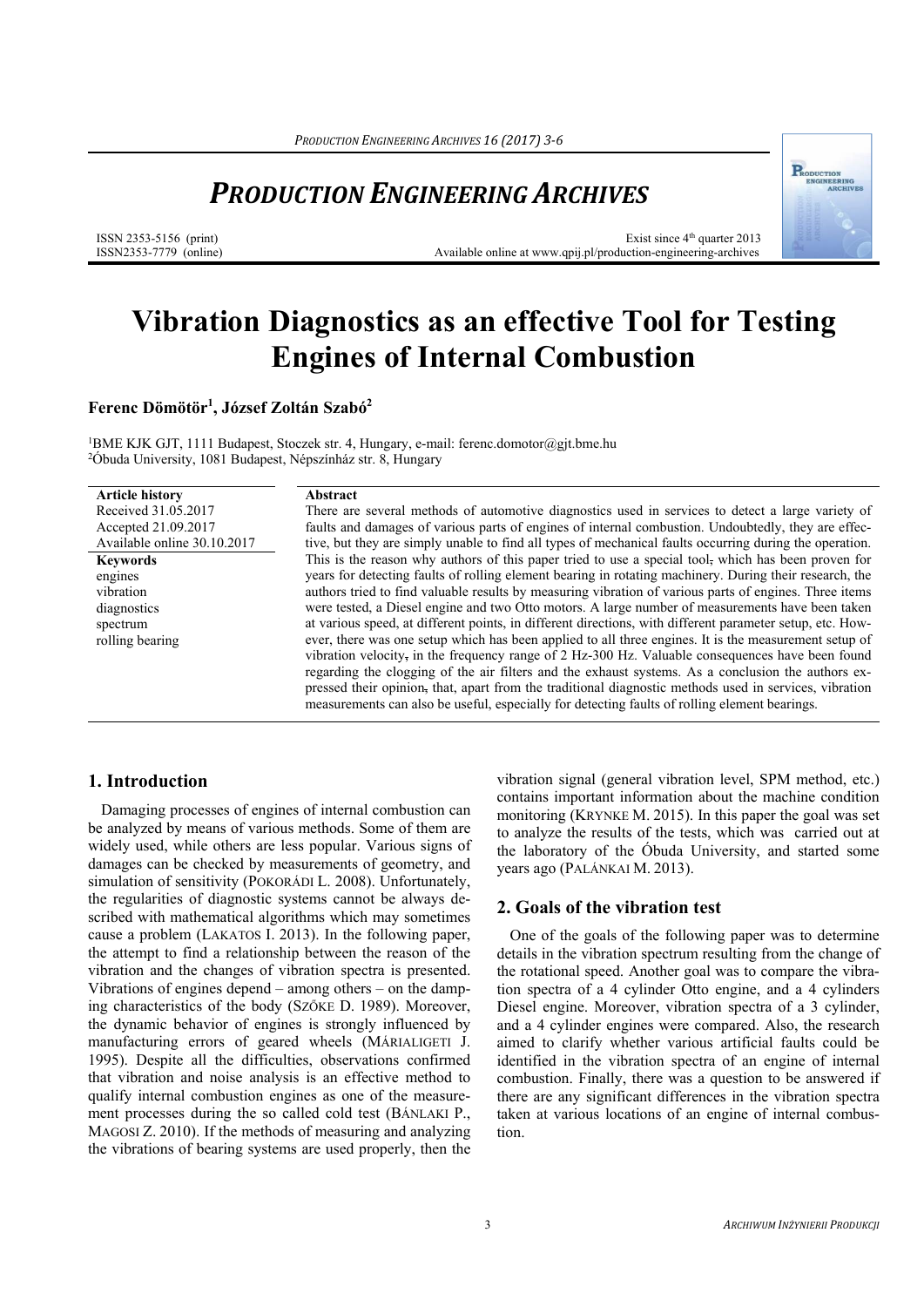## *PRODUCTION ENGINEERING ARCHIVES*

ISSN 2353-5156 (print) ISSN2353-7779 (online)

Exist since  $4<sup>th</sup>$  quarter 2013 Available online at www.qpij.pl/production-engineering-archives

# **Vibration Diagnostics as an effective Tool for Testing Engines of Internal Combustion**

**Ferenc Dömötör1 , József Zoltán Szabó2** 

1BME KJK GJT, 1111 Budapest, Stoczek str. 4, Hungary, e-mail: ferenc.domotor@gjt.bme.hu 2Óbuda University, 1081 Budapest, Népszínház str. 8, Hungary

| <b>Article history</b>      | Abstract                                                                                                                                                                                                |
|-----------------------------|---------------------------------------------------------------------------------------------------------------------------------------------------------------------------------------------------------|
| Received 31.05.2017         | There are several methods of automotive diagnostics used in services to detect a large variety of                                                                                                       |
| Accepted 21.09.2017         | faults and damages of various parts of engines of internal combustion. Undoubtedly, they are effec-                                                                                                     |
| Available online 30.10.2017 | tive, but they are simply unable to find all types of mechanical faults occurring during the operation.                                                                                                 |
| <b>Keywords</b>             | This is the reason why authors of this paper tried to use a special tool, which has been proven for                                                                                                     |
| engines                     | years for detecting faults of rolling element bearing in rotating machinery. During their research, the                                                                                                 |
| vibration                   | authors tried to find valuable results by measuring vibration of various parts of engines. Three items                                                                                                  |
| diagnostics                 | were tested, a Diesel engine and two Otto motors. A large number of measurements have been taken                                                                                                        |
| spectrum                    | at various speed, at different points, in different directions, with different parameter setup, etc. How-                                                                                               |
| rolling bearing             | ever, there was one setup which has been applied to all three engines. It is the measurement setup of                                                                                                   |
|                             | vibration velocity, in the frequency range of 2 Hz-300 Hz. Valuable consequences have been found<br>regarding the clogging of the air filters and the exhaust systems. As a conclusion the authors ex-  |
|                             | pressed their opinion, that, apart from the traditional diagnostic methods used in services, vibration<br>measurements can also be useful, especially for detecting faults of rolling element bearings. |

## **1. Introduction**

Damaging processes of engines of internal combustion can be analyzed by means of various methods. Some of them are widely used, while others are less popular. Various signs of damages can be checked by measurements of geometry, and simulation of sensitivity (POKORÁDI L. 2008). Unfortunately, the regularities of diagnostic systems cannot be always described with mathematical algorithms which may sometimes cause a problem (LAKATOS I. 2013). In the following paper, the attempt to find a relationship between the reason of the vibration and the changes of vibration spectra is presented. Vibrations of engines depend – among others – on the damping characteristics of the body (SZŐKE D. 1989). Moreover, the dynamic behavior of engines is strongly influenced by manufacturing errors of geared wheels (MÁRIALIGETI J. 1995). Despite all the difficulties, observations confirmed that vibration and noise analysis is an effective method to qualify internal combustion engines as one of the measurement processes during the so called cold test (BÁNLAKI P., MAGOSI Z. 2010). If the methods of measuring and analyzing the vibrations of bearing systems are used properly, then the

vibration signal (general vibration level, SPM method, etc.) contains important information about the machine condition monitoring (KRYNKE M. 2015). In this paper the goal was set to analyze the results of the tests, which was carried out at the laboratory of the Óbuda University, and started some years ago (PALÁNKAI M. 2013).

## **2. Goals of the vibration test**

One of the goals of the following paper was to determine details in the vibration spectrum resulting from the change of the rotational speed. Another goal was to compare the vibration spectra of a 4 cylinder Otto engine, and a 4 cylinders Diesel engine. Moreover, vibration spectra of a 3 cylinder, and a 4 cylinder engines were compared. Also, the research aimed to clarify whether various artificial faults could be identified in the vibration spectra of an engine of internal combustion. Finally, there was a question to be answered if there are any significant differences in the vibration spectra taken at various locations of an engine of internal combustion.

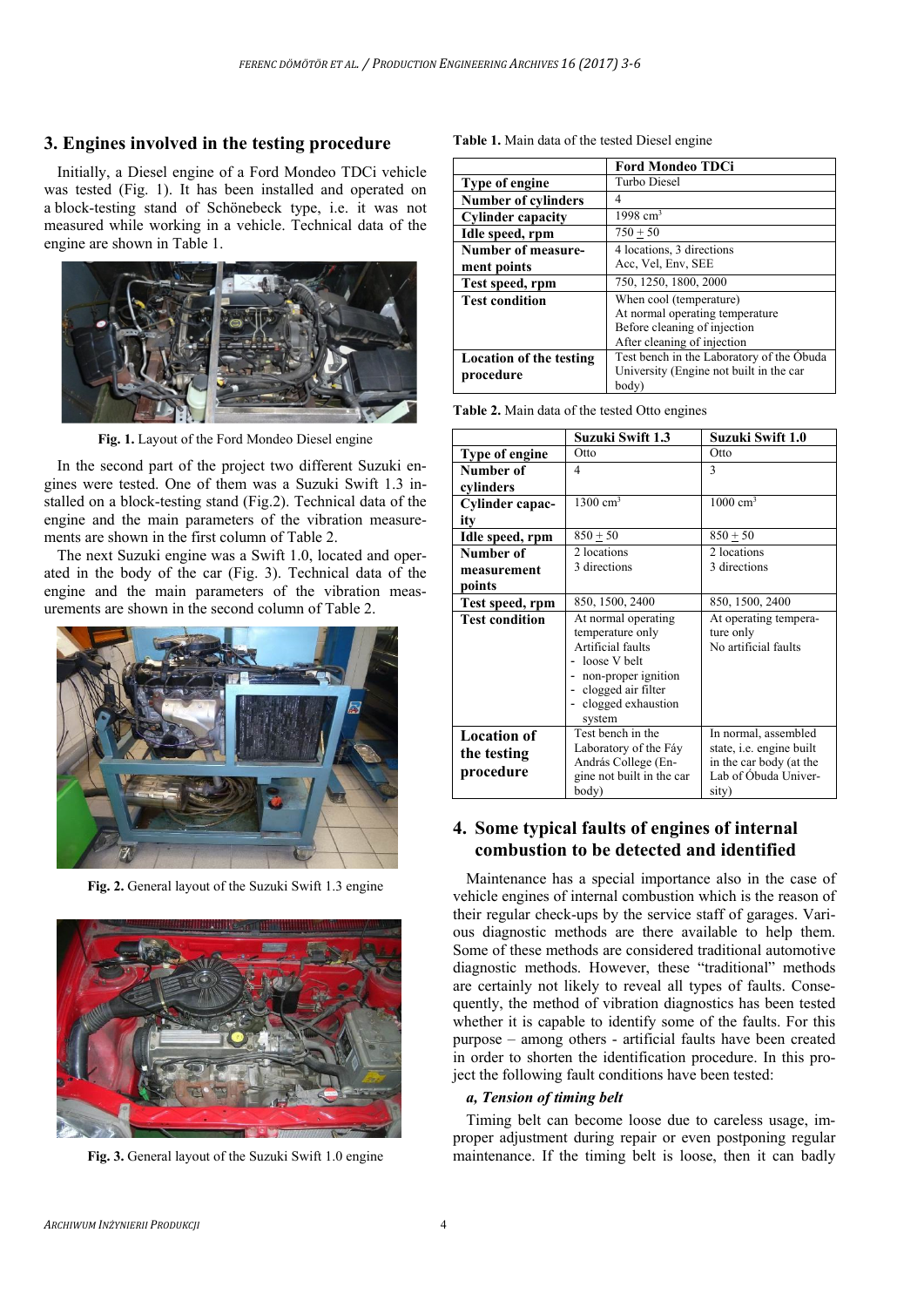### **3. Engines involved in the testing procedure**

Initially, a Diesel engine of a Ford Mondeo TDCi vehicle was tested (Fig. 1). It has been installed and operated on a block-testing stand of Schönebeck type, i.e. it was not measured while working in a vehicle. Technical data of the engine are shown in Table 1.



**Fig. 1.** Layout of the Ford Mondeo Diesel engine

In the second part of the project two different Suzuki engines were tested. One of them was a Suzuki Swift 1.3 installed on a block-testing stand (Fig.2). Technical data of the engine and the main parameters of the vibration measurements are shown in the first column of Table 2.

The next Suzuki engine was a Swift 1.0, located and operated in the body of the car (Fig. 3). Technical data of the engine and the main parameters of the vibration measurements are shown in the second column of Table 2.



**Fig. 2.** General layout of the Suzuki Swift 1.3 engine



**Fig. 3.** General layout of the Suzuki Swift 1.0 engine

|  |  |  | <b>Table 1.</b> Main data of the tested Diesel engine |
|--|--|--|-------------------------------------------------------|
|  |  |  |                                                       |

|                                | <b>Ford Mondeo TDCi</b>                   |  |
|--------------------------------|-------------------------------------------|--|
| Type of engine                 | Turbo Diesel                              |  |
| <b>Number of cylinders</b>     | 4                                         |  |
| <b>Cylinder capacity</b>       | 1998 $cm3$                                |  |
| Idle speed, rpm                | $750 + 50$                                |  |
| Number of measure-             | 4 locations, 3 directions                 |  |
| ment points                    | Acc, Vel, Env, SEE                        |  |
| Test speed, rpm                | 750, 1250, 1800, 2000                     |  |
| <b>Test condition</b>          | When cool (temperature)                   |  |
|                                | At normal operating temperature           |  |
|                                | Before cleaning of injection              |  |
|                                | After cleaning of injection               |  |
| <b>Location of the testing</b> | Test bench in the Laboratory of the Obuda |  |
| procedure                      | University (Engine not built in the car   |  |
|                                | body)                                     |  |

**Table 2.** Main data of the tested Otto engines

|                                                | <b>Suzuki Swift 1.3</b>                                                                                                                                         | Suzuki Swift 1.0                                                                                                    |
|------------------------------------------------|-----------------------------------------------------------------------------------------------------------------------------------------------------------------|---------------------------------------------------------------------------------------------------------------------|
| <b>Type of engine</b>                          | Otto                                                                                                                                                            | Otto                                                                                                                |
| Number of                                      | 4                                                                                                                                                               | 3                                                                                                                   |
| cylinders                                      |                                                                                                                                                                 |                                                                                                                     |
| Cylinder capac-                                | $1300 \text{ cm}^3$                                                                                                                                             | $1000 \text{ cm}^3$                                                                                                 |
| ity                                            |                                                                                                                                                                 |                                                                                                                     |
| Idle speed, rpm                                | $850 + 50$                                                                                                                                                      | $850 + 50$                                                                                                          |
| Number of                                      | 2 locations                                                                                                                                                     | 2 locations                                                                                                         |
| measurement                                    | 3 directions                                                                                                                                                    | 3 directions                                                                                                        |
| points                                         |                                                                                                                                                                 |                                                                                                                     |
| Test speed, rpm                                | 850, 1500, 2400                                                                                                                                                 | 850, 1500, 2400                                                                                                     |
| <b>Test condition</b>                          | At normal operating<br>temperature only<br>Artificial faults<br>loose V belt<br>- non-proper ignition<br>- clogged air filter<br>- clogged exhaustion<br>system | At operating tempera-<br>ture only<br>No artificial faults                                                          |
| <b>Location of</b><br>the testing<br>procedure | Test bench in the<br>Laboratory of the Fáy<br>András College (En-<br>gine not built in the car<br>body)                                                         | In normal, assembled<br>state, <i>i.e.</i> engine built<br>in the car body (at the<br>Lab of Óbuda Univer-<br>sity) |

## **4. Some typical faults of engines of internal combustion to be detected and identified**

Maintenance has a special importance also in the case of vehicle engines of internal combustion which is the reason of their regular check-ups by the service staff of garages. Various diagnostic methods are there available to help them. Some of these methods are considered traditional automotive diagnostic methods. However, these "traditional" methods are certainly not likely to reveal all types of faults. Consequently, the method of vibration diagnostics has been tested whether it is capable to identify some of the faults. For this purpose – among others - artificial faults have been created in order to shorten the identification procedure. In this project the following fault conditions have been tested:

#### *a, Tension of timing belt*

Timing belt can become loose due to careless usage, improper adjustment during repair or even postponing regular maintenance. If the timing belt is loose, then it can badly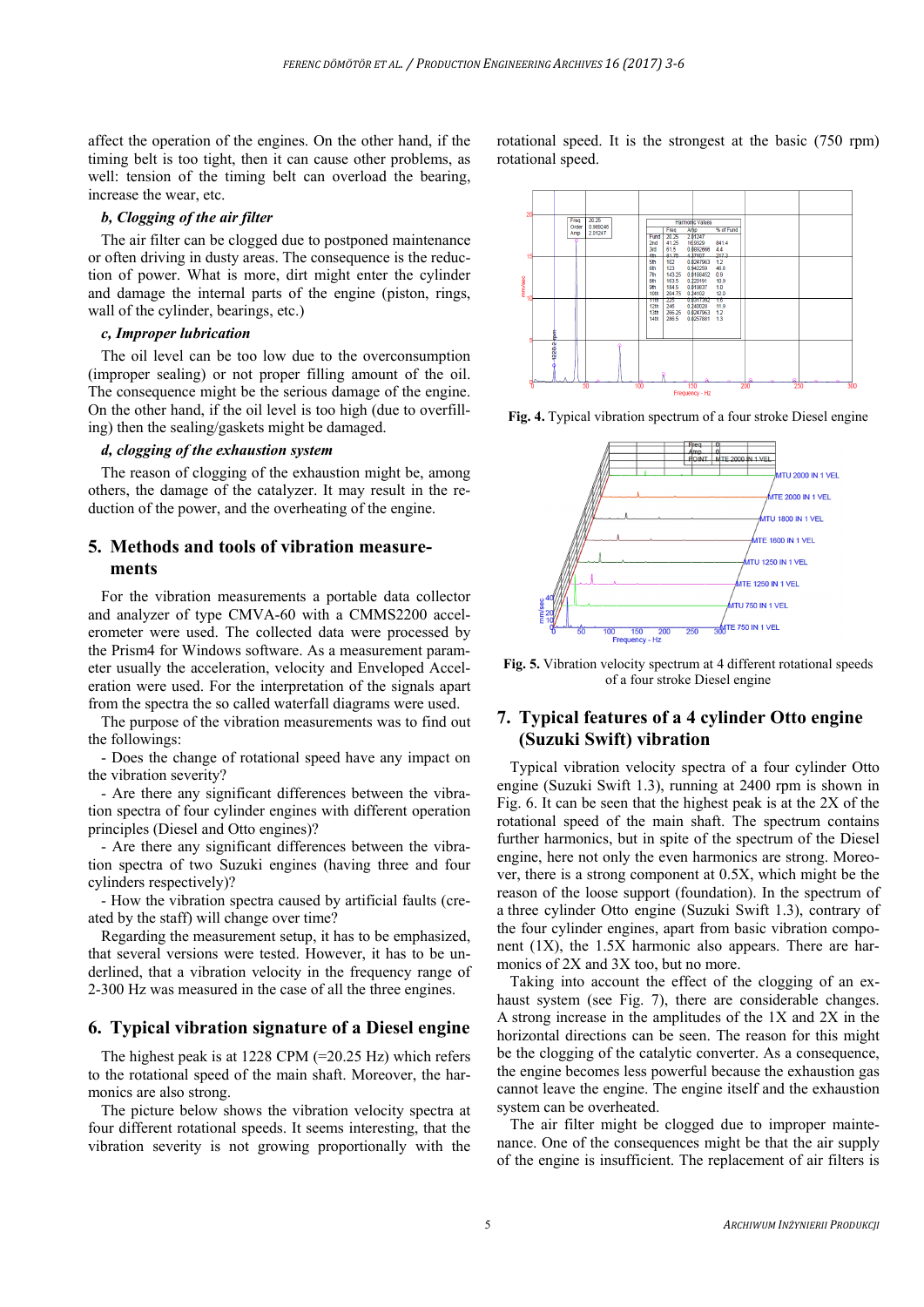affect the operation of the engines. On the other hand, if the timing belt is too tight, then it can cause other problems, as well: tension of the timing belt can overload the bearing, increase the wear, etc.

#### *b, Clogging of the air filter*

The air filter can be clogged due to postponed maintenance or often driving in dusty areas. The consequence is the reduction of power. What is more, dirt might enter the cylinder and damage the internal parts of the engine (piston, rings, wall of the cylinder, bearings, etc.)

#### *c, Improper lubrication*

The oil level can be too low due to the overconsumption (improper sealing) or not proper filling amount of the oil. The consequence might be the serious damage of the engine. On the other hand, if the oil level is too high (due to overfilling) then the sealing/gaskets might be damaged.

#### *d, clogging of the exhaustion system*

The reason of clogging of the exhaustion might be, among others, the damage of the catalyzer. It may result in the reduction of the power, and the overheating of the engine.

## **5. Methods and tools of vibration measurements**

For the vibration measurements a portable data collector and analyzer of type CMVA-60 with a CMMS2200 accelerometer were used. The collected data were processed by the Prism4 for Windows software. As a measurement parameter usually the acceleration, velocity and Enveloped Acceleration were used. For the interpretation of the signals apart from the spectra the so called waterfall diagrams were used.

The purpose of the vibration measurements was to find out the followings:

- Does the change of rotational speed have any impact on the vibration severity?

- Are there any significant differences between the vibration spectra of four cylinder engines with different operation principles (Diesel and Otto engines)?

- Are there any significant differences between the vibration spectra of two Suzuki engines (having three and four cylinders respectively)?

- How the vibration spectra caused by artificial faults (created by the staff) will change over time?

Regarding the measurement setup, it has to be emphasized, that several versions were tested. However, it has to be underlined, that a vibration velocity in the frequency range of 2-300 Hz was measured in the case of all the three engines.

#### **6. Typical vibration signature of a Diesel engine**

The highest peak is at  $1228$  CPM (=20.25 Hz) which refers to the rotational speed of the main shaft. Moreover, the harmonics are also strong.

The picture below shows the vibration velocity spectra at four different rotational speeds. It seems interesting, that the vibration severity is not growing proportionally with the rotational speed. It is the strongest at the basic (750 rpm) rotational speed.



**Fig. 4.** Typical vibration spectrum of a four stroke Diesel engine



**Fig. 5.** Vibration velocity spectrum at 4 different rotational speeds of a four stroke Diesel engine

## **7. Typical features of a 4 cylinder Otto engine (Suzuki Swift) vibration**

Typical vibration velocity spectra of a four cylinder Otto engine (Suzuki Swift 1.3), running at 2400 rpm is shown in Fig. 6. It can be seen that the highest peak is at the 2X of the rotational speed of the main shaft. The spectrum contains further harmonics, but in spite of the spectrum of the Diesel engine, here not only the even harmonics are strong. Moreover, there is a strong component at 0.5X, which might be the reason of the loose support (foundation). In the spectrum of a three cylinder Otto engine (Suzuki Swift 1.3), contrary of the four cylinder engines, apart from basic vibration component (1X), the 1.5X harmonic also appears. There are harmonics of 2X and 3X too, but no more.

Taking into account the effect of the clogging of an exhaust system (see Fig. 7), there are considerable changes. A strong increase in the amplitudes of the 1X and 2X in the horizontal directions can be seen. The reason for this might be the clogging of the catalytic converter. As a consequence, the engine becomes less powerful because the exhaustion gas cannot leave the engine. The engine itself and the exhaustion system can be overheated.

The air filter might be clogged due to improper maintenance. One of the consequences might be that the air supply of the engine is insufficient. The replacement of air filters is